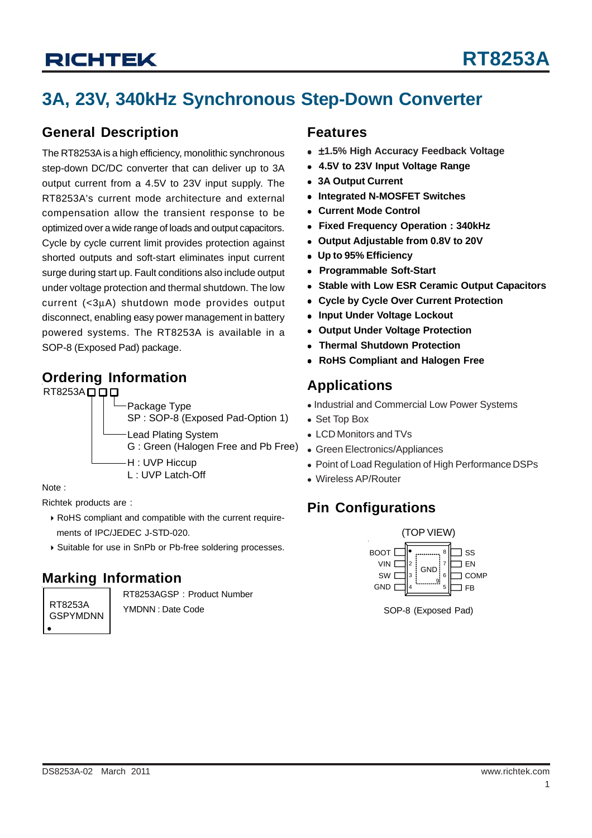# **3A, 23V, 340kHz Synchronous Step-Down Converter**

### **General Description**

The RT8253A is a high efficiency, monolithic synchronous step-down DC/DC converter that can deliver up to 3A output current from a 4.5V to 23V input supply. The RT8253A's current mode architecture and external compensation allow the transient response to be optimized over a wide range of loads and output capacitors. Cycle by cycle current limit provides protection against shorted outputs and soft-start eliminates input current surge during start up. Fault conditions also include output under voltage protection and thermal shutdown. The low current (<3μA) shutdown mode provides output disconnect, enabling easy power management in battery powered systems. The RT8253A is available in a SOP-8 (Exposed Pad) package.

### **Ordering Information**



Note :

Richtek products are :

- ` RoHS compliant and compatible with the current require ments of IPC/JEDEC J-STD-020.
- ` Suitable for use in SnPb or Pb-free soldering processes.

### **Marking Information**

RT8253A GSPYMDNN RT8253AGSP : Product Number YMDNN : Date Code

### **Features**

- $\bullet$  ±1.5% High Accuracy Feedback Voltage
- <sup>z</sup> **4.5V to 23V Input Voltage Range**
- <sup>z</sup> **3A Output Current**
- <sup>z</sup> **Integrated N-MOSFET Switches**
- <sup>z</sup> **Current Mode Control**
- <sup>z</sup> **Fixed Frequency Operation : 340kHz**
- <sup>z</sup> **Output Adjustable from 0.8V to 20V**
- <sup>z</sup> **Up to 95% Efficiency**
- <sup>z</sup> **Programmable Soft-Start**
- **Stable with Low ESR Ceramic Output Capacitors**
- <sup>z</sup> **Cycle by Cycle Over Current Protection**
- **Input Under Voltage Lockout**
- <sup>z</sup> **Output Under Voltage Protection**
- <sup>z</sup> **Thermal Shutdown Protection**
- <sup>z</sup> **RoHS Compliant and Halogen Free**

### **Applications**

- Industrial and Commercial Low Power Systems
- Set Top Box
- LCD Monitors and TVs
- Green Electronics/Appliances
- Point of Load Regulation of High Performance DSPs
- Wireless AP/Router

### **Pin Configurations**



SOP-8 (Exposed Pad)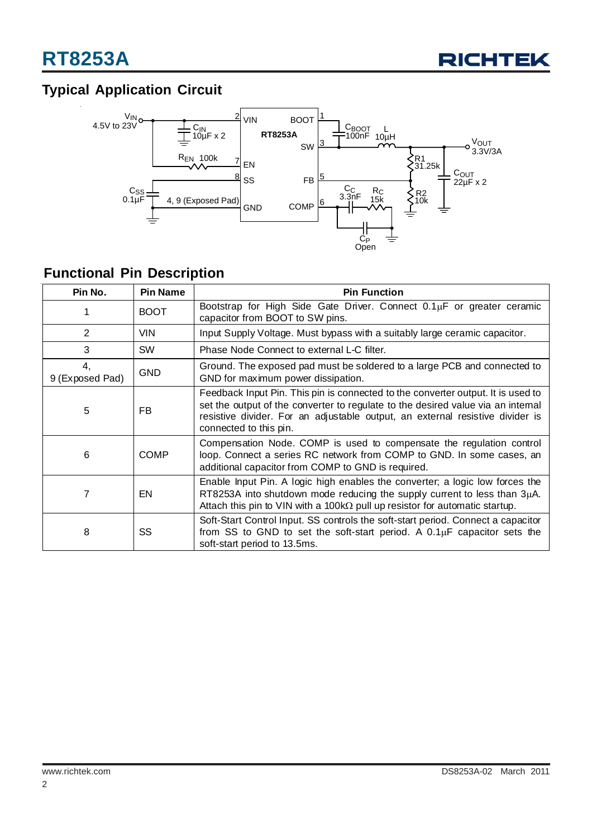

## **Typical Application Circuit**



## **Functional Pin Description**

| Pin No.               | <b>Pin Name</b> | <b>Pin Function</b>                                                                                                                                                                                                                                                             |  |  |  |
|-----------------------|-----------------|---------------------------------------------------------------------------------------------------------------------------------------------------------------------------------------------------------------------------------------------------------------------------------|--|--|--|
|                       | <b>BOOT</b>     | Bootstrap for High Side Gate Driver. Connect 0.1µF or greater ceramic<br>capacitor from BOOT to SW pins.                                                                                                                                                                        |  |  |  |
| 2                     | <b>VIN</b>      | Input Supply Voltage. Must bypass with a suitably large ceramic capacitor.                                                                                                                                                                                                      |  |  |  |
| 3                     | <b>SW</b>       | Phase Node Connect to external L-C filter.                                                                                                                                                                                                                                      |  |  |  |
| 4.<br>9 (Exposed Pad) | <b>GND</b>      | Ground. The exposed pad must be soldered to a large PCB and connected to<br>GND for maximum power dissipation.                                                                                                                                                                  |  |  |  |
| 5                     | FB.             | Feedback Input Pin. This pin is connected to the converter output. It is used to<br>set the output of the converter to regulate to the desired value via an internal<br>resistive divider. For an adjustable output, an external resistive divider is<br>connected to this pin. |  |  |  |
| 6                     | <b>COMP</b>     | Compensation Node. COMP is used to compensate the regulation control<br>loop. Connect a series RC network from COMP to GND. In some cases, an<br>additional capacitor from COMP to GND is required.                                                                             |  |  |  |
|                       | EN.             | Enable Input Pin. A logic high enables the converter; a logic low forces the<br>RT8253A into shutdown mode reducing the supply current to less than $3\mu$ A.<br>Attach this pin to VIN with a 100k $\Omega$ pull up resistor for automatic startup.                            |  |  |  |
| 8                     | SS              | Soft-Start Control Input. SS controls the soft-start period. Connect a capacitor<br>from SS to GND to set the soft-start period. A $0.1\mu$ F capacitor sets the<br>soft-start period to 13.5ms.                                                                                |  |  |  |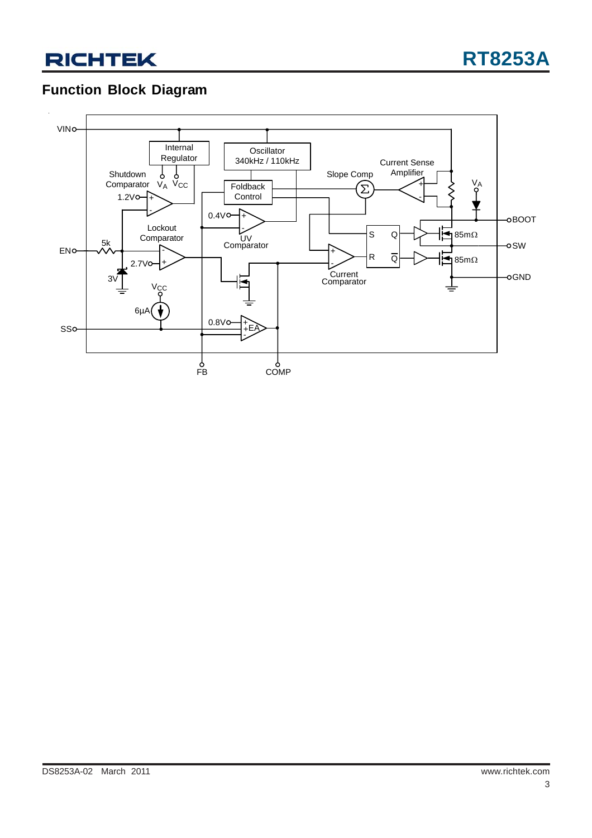## **Function Block Diagram**

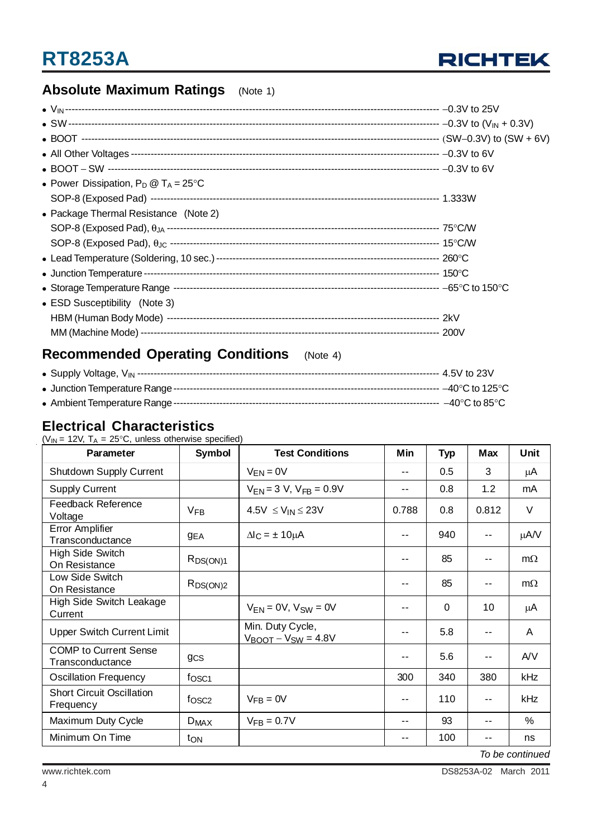

## **Absolute Maximum Ratings** (Note 1)

| • Power Dissipation, $P_D @ T_A = 25^{\circ}C$ |  |
|------------------------------------------------|--|
|                                                |  |
| • Package Thermal Resistance (Note 2)          |  |
|                                                |  |
|                                                |  |
|                                                |  |
|                                                |  |
|                                                |  |
| • ESD Susceptibility (Note 3)                  |  |
|                                                |  |
|                                                |  |

## **Recommended Operating Conditions** (Note 4)

### **Electrical Characteristics**

 $(V_{IN} = 12V, T_A = 25^{\circ}C,$  unless otherwise specified)

| Parameter                                        | <b>Symbol</b>           | <b>Test Conditions</b>                         | Min   | <b>Typ</b> | Max   | Unit      |
|--------------------------------------------------|-------------------------|------------------------------------------------|-------|------------|-------|-----------|
| Shutdown Supply Current                          |                         | $V_{EN} = 0V$                                  | --    | 0.5        | 3     | μA        |
| <b>Supply Current</b>                            |                         | $V_{FN} = 3 V$ , $V_{FR} = 0.9V$               | --    | 0.8        | 1.2   | mA        |
| <b>Feedback Reference</b><br>Voltage             | <b>V<sub>FB</sub></b>   | $4.5V \leq V_{IN} \leq 23V$                    | 0.788 | 0.8        | 0.812 | V         |
| Error Amplifier<br>Transconductance              | <b>GEA</b>              | $\Delta I_C = \pm 10 \mu A$                    | $-$   | 940        | $-1$  | $\mu A/V$ |
| <b>High Side Switch</b><br>On Resistance         | $R_{DS(ON)1}$           |                                                | --    | 85         | $ -$  | $m\Omega$ |
| Low Side Switch<br>On Resistance                 | $R_{DS(ON)2}$           |                                                | --    | 85         | $-$   | $m\Omega$ |
| High Side Switch Leakage<br>Current              |                         | $V_{FN} = 0V$ , $V_{SW} = 0V$                  | --    | $\Omega$   | 10    | μA        |
| <b>Upper Switch Current Limit</b>                |                         | Min. Duty Cycle,<br>$V_{BOOT} - V_{SW} = 4.8V$ | --    | 5.8        | $ -$  | A         |
| <b>COMP to Current Sense</b><br>Transconductance | <b>gcs</b>              |                                                | --    | 5.6        | $ -$  | AVV       |
| <b>Oscillation Frequency</b>                     | f <sub>OSC1</sub>       |                                                | 300   | 340        | 380   | kHz       |
| <b>Short Circuit Oscillation</b><br>Frequency    | f <sub>OSC2</sub>       | $VFB = 0V$                                     | --    | 110        | $-1$  | kHz       |
| Maximum Duty Cycle                               | <b>D</b> <sub>MAX</sub> | $V_{FB} = 0.7V$                                | --    | 93         | $ -$  | %         |
| Minimum On Time                                  | t <sub>ON</sub>         |                                                | ۰.    | 100        | $- -$ | ns        |

*To be continued*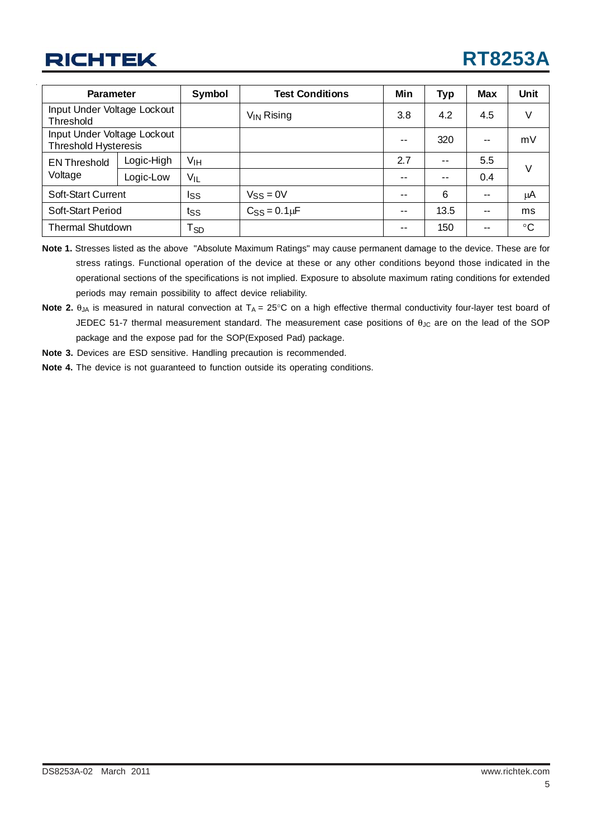| <b>Parameter</b>                                           |            | Symbol                     | <b>Test Conditions</b> | Min   | <b>Typ</b>               | <b>Max</b> | Unit      |
|------------------------------------------------------------|------------|----------------------------|------------------------|-------|--------------------------|------------|-----------|
| Input Under Voltage Lockout<br>Threshold                   |            |                            | $V_{IN}$ Rising        | 3.8   | 4.2                      | 4.5        | V         |
| Input Under Voltage Lockout<br><b>Threshold Hysteresis</b> |            |                            |                        | --    | 320                      | $\sim$     | mV        |
| <b>EN Threshold</b><br>Voltage                             | Logic-High | V <sub>IH</sub>            |                        | 2.7   | $-$                      | 5.5        | V         |
|                                                            | Logic-Low  | $V_{IL}$                   |                        | $- -$ | $\overline{\phantom{a}}$ | 0.4        |           |
| <b>Soft-Start Current</b>                                  |            | Iss                        | $V_{SS} = 0V$          | $- -$ | 6                        | $\sim$     | μA        |
| Soft-Start Period                                          |            | $t_{SS}$                   | $C_{SS} = 0.1 \mu F$   | --    | 13.5                     | $\sim$     | ms        |
| <b>Thermal Shutdown</b>                                    |            | $\mathsf{T}_{\mathsf{SD}}$ |                        | --    | 150                      | --         | $\circ$ C |

- **Note 1.** Stresses listed as the above "Absolute Maximum Ratings" may cause permanent damage to the device. These are for stress ratings. Functional operation of the device at these or any other conditions beyond those indicated in the operational sections of the specifications is not implied. Exposure to absolute maximum rating conditions for extended periods may remain possibility to affect device reliability.
- **Note 2.**  $\theta_{JA}$  is measured in natural convection at  $T_A = 25^\circ \text{C}$  on a high effective thermal conductivity four-layer test board of JEDEC 51-7 thermal measurement standard. The measurement case positions of  $\theta_{\text{JC}}$  are on the lead of the SOP package and the expose pad for the SOP(Exposed Pad) package.
- **Note 3.** Devices are ESD sensitive. Handling precaution is recommended.
- **Note 4.** The device is not guaranteed to function outside its operating conditions.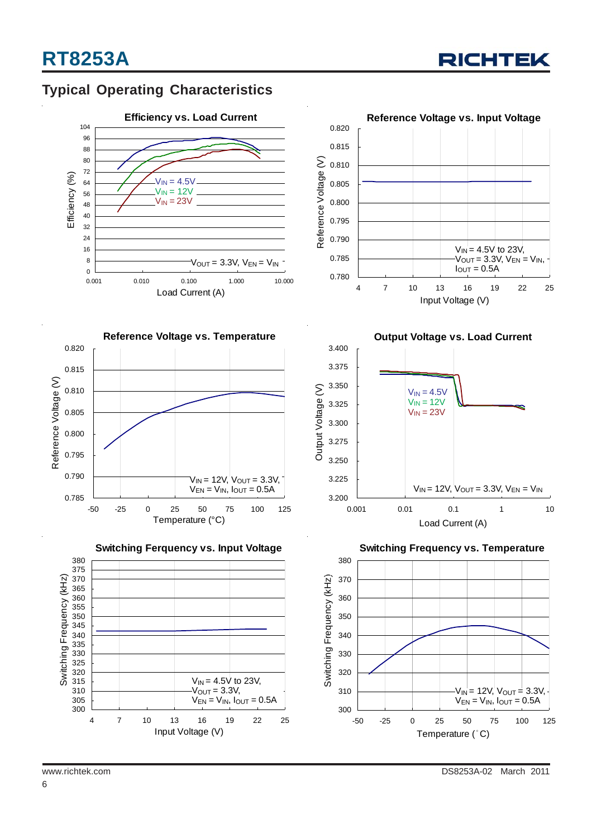

### **Typical Operating Characteristics**











**Output Voltage vs. Load Current**



**Switching Frequency vs. Temperature**

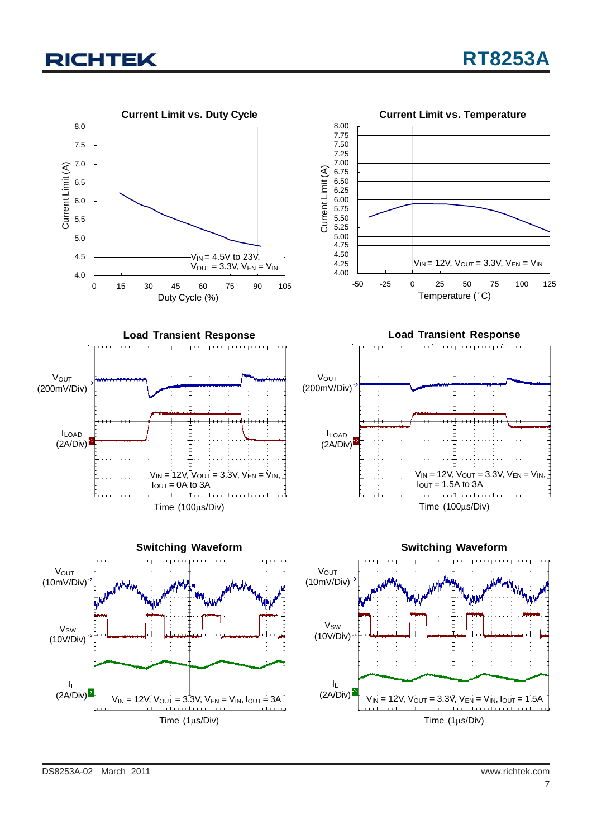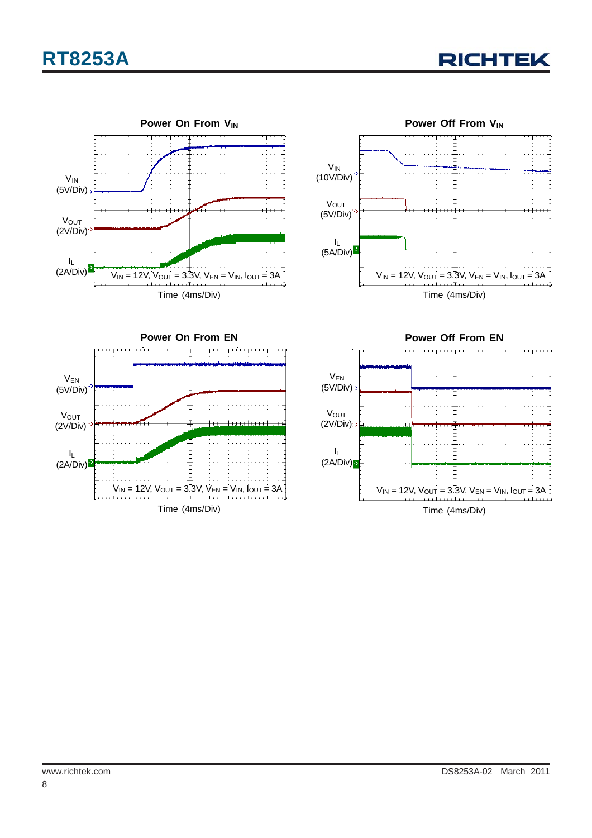







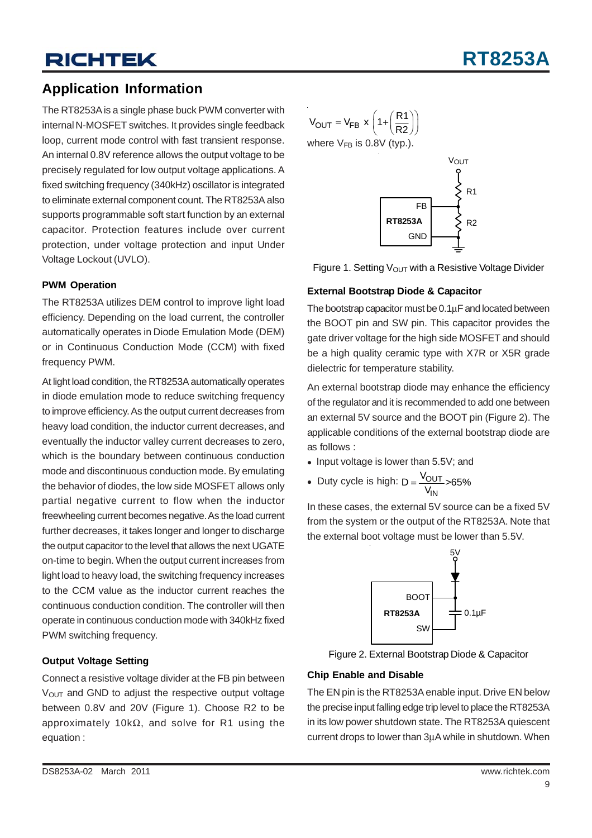### **Application Information**

The RT8253A is a single phase buck PWM converter with internal N-MOSFET switches. It provides single feedback loop, current mode control with fast transient response. An internal 0.8V reference allows the output voltage to be precisely regulated for low output voltage applications. A fixed switching frequency (340kHz) oscillator is integrated to eliminate external component count. The RT8253A also supports programmable soft start function by an external capacitor. Protection features include over current protection, under voltage protection and input Under Voltage Lockout (UVLO).

#### **PWM Operation**

The RT8253A utilizes DEM control to improve light load efficiency. Depending on the load current, the controller automatically operates in Diode Emulation Mode (DEM) or in Continuous Conduction Mode (CCM) with fixed frequency PWM.

At light load condition, the RT8253A automatically operates in diode emulation mode to reduce switching frequency to improve efficiency. As the output current decreases from heavy load condition, the inductor current decreases, and eventually the inductor valley current decreases to zero, which is the boundary between continuous conduction mode and discontinuous conduction mode. By emulating the behavior of diodes, the low side MOSFET allows only partial negative current to flow when the inductor freewheeling current becomes negative. As the load current further decreases, it takes longer and longer to discharge the output capacitor to the level that allows the next UGATE on-time to begin. When the output current increases from light load to heavy load, the switching frequency increases to the CCM value as the inductor current reaches the continuous conduction condition. The controller will then operate in continuous conduction mode with 340kHz fixed PWM switching frequency.

#### **Output Voltage Setting**

Connect a resistive voltage divider at the FB pin between  $V<sub>OUT</sub>$  and GND to adjust the respective output voltage between 0.8V and 20V (Figure 1). Choose R2 to be approximately 10kΩ, and solve for R1 using the equation :

$$
V_{\text{OUT}} = V_{\text{FB}} \times \left(1 + \left(\frac{R1}{R2}\right)\right)
$$
  
where  $V_{\text{FB}}$  is 0.8V (typ.).



VOUT

Figure 1. Setting  $V_{\text{OUT}}$  with a Resistive Voltage Divider

#### **External Bootstrap Diode & Capacitor**

The bootstrap capacitor must be 0.1μF and located between the BOOT pin and SW pin. This capacitor provides the gate driver voltage for the high side MOSFET and should be a high quality ceramic type with X7R or X5R grade dielectric for temperature stability.

An external bootstrap diode may enhance the efficiency of the regulator and it is recommended to add one between an external 5V source and the BOOT pin (Figure 2). The applicable conditions of the external bootstrap diode are as follows :

- Input voltage is lower than 5.5V; and
- OUT IN • Duty cycle is high:  $D = \frac{V_{OUT}}{V_{IN}} > 65\%$

In these cases, the external 5V source can be a fixed 5V from the system or the output of the RT8253A. Note that the external boot voltage must be lower than 5.5V.



Figure 2. External Bootstrap Diode & Capacitor

#### **Chip Enable and Disable**

The EN pin is the RT8253A enable input. Drive EN below the precise input falling edge trip level to place the RT8253A in its low power shutdown state. The RT8253A quiescent current drops to lower than 3μA while in shutdown. When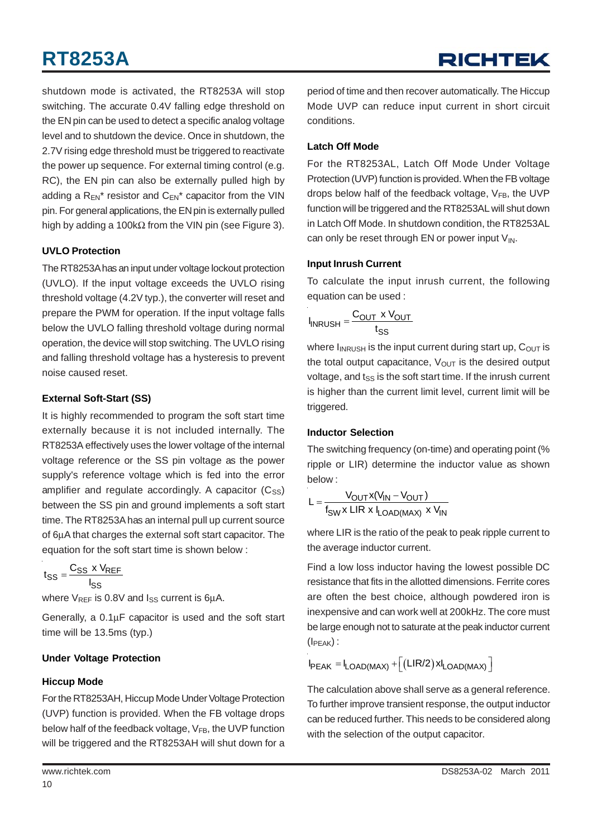# **RT8253A**

shutdown mode is activated, the RT8253A will stop switching. The accurate 0.4V falling edge threshold on the EN pin can be used to detect a specific analog voltage level and to shutdown the device. Once in shutdown, the 2.7V rising edge threshold must be triggered to reactivate the power up sequence. For external timing control (e.g. RC), the EN pin can also be externally pulled high by adding a  $R_{FN}^*$  resistor and  $C_{FN}^*$  capacitor from the VIN pin. For general applications, the EN pin is externally pulled high by adding a 100kΩ from the VIN pin (see Figure 3).

#### **UVLO Protection**

The RT8253A has an input under voltage lockout protection (UVLO). If the input voltage exceeds the UVLO rising threshold voltage (4.2V typ.), the converter will reset and prepare the PWM for operation. If the input voltage falls below the UVLO falling threshold voltage during normal operation, the device will stop switching. The UVLO rising and falling threshold voltage has a hysteresis to prevent noise caused reset.

#### **External Soft-Start (SS)**

It is highly recommended to program the soft start time externally because it is not included internally. The RT8253A effectively uses the lower voltage of the internal voltage reference or the SS pin voltage as the power supply's reference voltage which is fed into the error amplifier and regulate accordingly. A capacitor  $(C_{SS})$ between the SS pin and ground implements a soft start time. The RT8253A has an internal pull up current source of 6μA that charges the external soft start capacitor. The equation for the soft start time is shown below :

$$
t_{SS} = \frac{C_{SS} \times V_{REF}}{I_{SS}}
$$

where  $V_{REF}$  is 0.8V and  $I_{SS}$  current is 6µA.

Generally, a 0.1μF capacitor is used and the soft start time will be 13.5ms (typ.)

#### **Under Voltage Protection**

#### **Hiccup Mode**

For the RT8253AH, Hiccup Mode Under Voltage Protection (UVP) function is provided. When the FB voltage drops below half of the feedback voltage,  $V_{FB}$ , the UVP function will be triggered and the RT8253AH will shut down for a

#### **Latch Off Mode**

For the RT8253AL, Latch Off Mode Under Voltage Protection (UVP) function is provided. When the FB voltage drops below half of the feedback voltage,  $V_{FB}$ , the UVP function will be triggered and the RT8253AL will shut down in Latch Off Mode. In shutdown condition, the RT8253AL can only be reset through EN or power input  $V_{IN}$ .

#### **Input Inrush Current**

To calculate the input inrush current, the following equation can be used :

$$
I_{INRUSH} = \frac{C_{OUT} \times V_{OUT}}{t_{SS}}
$$

where  $I_{INRUSH}$  is the input current during start up,  $C_{OUT}$  is the total output capacitance,  $V_{\text{OUT}}$  is the desired output voltage, and  $t_{SS}$  is the soft start time. If the inrush current is higher than the current limit level, current limit will be triggered.

#### **Inductor Selection**

The switching frequency (on-time) and operating point (% ripple or LIR) determine the inductor value as shown below :

$$
L = \frac{V_{OUT}x(V_{IN} - V_{OUT})}{f_{SW}x LIR \times I_{LOAD(MAX)} \times V_{IN}}
$$

where LIR is the ratio of the peak to peak ripple current to the average inductor current.

Find a low loss inductor having the lowest possible DC resistance that fits in the allotted dimensions. Ferrite cores are often the best choice, although powdered iron is inexpensive and can work well at 200kHz. The core must be large enough not to saturate at the peak inductor current  $(I<sub>PEAK</sub>)$ :

 $I_{PEAK} = I_{LOAD(MAX)} + [(LIR/2) \times I_{LOAD(MAX)}]$ 

The calculation above shall serve as a general reference. To further improve transient response, the output inductor can be reduced further. This needs to be considered along with the selection of the output capacitor.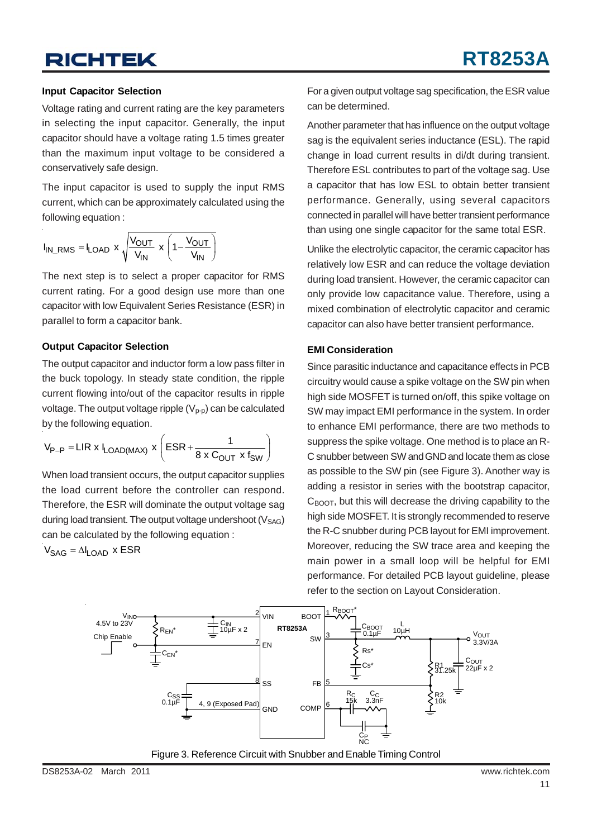#### **Input Capacitor Selection**

Voltage rating and current rating are the key parameters in selecting the input capacitor. Generally, the input capacitor should have a voltage rating 1.5 times greater than the maximum input voltage to be considered a conservatively safe design.

The input capacitor is used to supply the input RMS current, which can be approximately calculated using the following equation :

$$
I_{IN\_RMS} = I_{LOAD} \times \sqrt{\frac{V_{OUT}}{V_{IN}}} \times \left(1 - \frac{V_{OUT}}{V_{IN}}\right)
$$

The next step is to select a proper capacitor for RMS current rating. For a good design use more than one capacitor with low Equivalent Series Resistance (ESR) in parallel to form a capacitor bank.

#### **Output Capacitor Selection**

The output capacitor and inductor form a low pass filter in the buck topology. In steady state condition, the ripple current flowing into/out of the capacitor results in ripple voltage. The output voltage ripple  $(V_{p-p})$  can be calculated by the following equation.

$$
V_{P-P} = LIR \times I_{LOAD(MAX)} \times \left( ESR + \frac{1}{8 \times C_{OUT} \times f_{SW}} \right)
$$

When load transient occurs, the output capacitor supplies the load current before the controller can respond. Therefore, the ESR will dominate the output voltage sag during load transient. The output voltage undershoot  $(V<sub>SAG</sub>)$ can be calculated by the following equation :

 $V_{\text{SAG}} = \Delta I_{\text{LOAD}}$  x ESR

For a given output voltage sag specification, the ESR value can be determined.

Another parameter that has influence on the output voltage sag is the equivalent series inductance (ESL). The rapid change in load current results in di/dt during transient. Therefore ESL contributes to part of the voltage sag. Use a capacitor that has low ESL to obtain better transient performance. Generally, using several capacitors connected in parallel will have better transient performance than using one single capacitor for the same total ESR.

Unlike the electrolytic capacitor, the ceramic capacitor has relatively low ESR and can reduce the voltage deviation during load transient. However, the ceramic capacitor can only provide low capacitance value. Therefore, using a mixed combination of electrolytic capacitor and ceramic capacitor can also have better transient performance.

#### **EMI Consideration**

Since parasitic inductance and capacitance effects in PCB circuitry would cause a spike voltage on the SW pin when high side MOSFET is turned on/off, this spike voltage on SW may impact EMI performance in the system. In order to enhance EMI performance, there are two methods to suppress the spike voltage. One method is to place an R-C snubber between SW and GND and locate them as close as possible to the SW pin (see Figure 3). Another way is adding a resistor in series with the bootstrap capacitor,  $C_{\text{ROT}}$ , but this will decrease the driving capability to the high side MOSFET. It is strongly recommended to reserve the R-C snubber during PCB layout for EMI improvement. Moreover, reducing the SW trace area and keeping the main power in a small loop will be helpful for EMI performance. For detailed PCB layout guideline, please refer to the section on Layout Consideration.



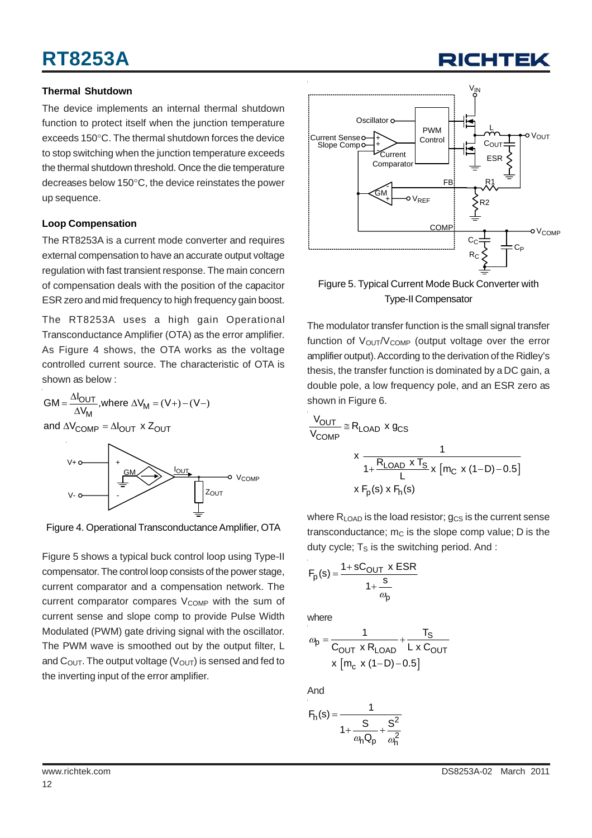# **RT8253A**

#### **Thermal Shutdown**

The device implements an internal thermal shutdown function to protect itself when the junction temperature exceeds 150°C. The thermal shutdown forces the device to stop switching when the junction temperature exceeds the thermal shutdown threshold. Once the die temperature decreases below 150°C, the device reinstates the power up sequence.

#### **Loop Compensation**

The RT8253A is a current mode converter and requires external compensation to have an accurate output voltage regulation with fast transient response. The main concern of compensation deals with the position of the capacitor ESR zero and mid frequency to high frequency gain boost.

The RT8253A uses a high gain Operational Transconductance Amplifier (OTA) as the error amplifier. As Figure 4 shows, the OTA works as the voltage controlled current source. The characteristic of OTA is shown as below :

 $GM = \frac{\Delta I_{OUT}}{\Delta V_M}$ , where  $\Delta V_M = (V+) - (V-)$ and  $\Delta {\rm V}_{\rm COMP}$  =  $\Delta {\rm I}_{\rm OUT}$  x  ${\rm Z}_{\rm OUT}$ 



Figure 4. Operational Transconductance Amplifier, OTA

Figure 5 shows a typical buck control loop using Type-II compensator. The control loop consists of the power stage, current comparator and a compensation network. The current comparator compares V<sub>COMP</sub> with the sum of current sense and slope comp to provide Pulse Width Modulated (PWM) gate driving signal with the oscillator. The PWM wave is smoothed out by the output filter, L and  $C_{\text{OUT}}$ . The output voltage ( $V_{\text{OUT}}$ ) is sensed and fed to the inverting input of the error amplifier.



Г

Figure 5. Typical Current Mode Buck Converter with Type-II Compensator

The modulator transfer function is the small signal transfer function of  $V_{\text{OUT}}/V_{\text{COMP}}$  (output voltage over the error amplifier output). According to the derivation of the Ridley's thesis, the transfer function is dominated by a DC gain, a double pole, a low frequency pole, and an ESR zero as shown in Figure 6.

$$
\frac{V_{OUT}}{V_{COMP}} \cong R_{LOAD} \times g_{CS}
$$
\n
$$
\times \frac{1}{1 + \frac{R_{LOAD} \times T_S}{L} \times [m_C \times (1 - D) - 0.5]}
$$
\n
$$
\times F_p(s) \times F_h(s)
$$

where  $R_{LOAD}$  is the load resistor;  $g_{CS}$  is the current sense transconductance;  $m<sub>C</sub>$  is the slope comp value; D is the duty cycle;  $T<sub>S</sub>$  is the switching period. And :

$$
F_p(s) = \frac{1 + sC_{OUT} \times ESR}{1 + \frac{s}{\omega_p}}
$$

where

$$
\omega_{p} = \frac{1}{C_{OUT} \times R_{LOAD}} + \frac{T_{S}}{L \times C_{OUT}}
$$

$$
\times [m_{c} \times (1 - D) - 0.5]
$$

And

$$
F_h(s) = \frac{1}{1 + \frac{S}{\omega_h \mathbf{Q}_p} + \frac{S^2}{\omega_h^2}}
$$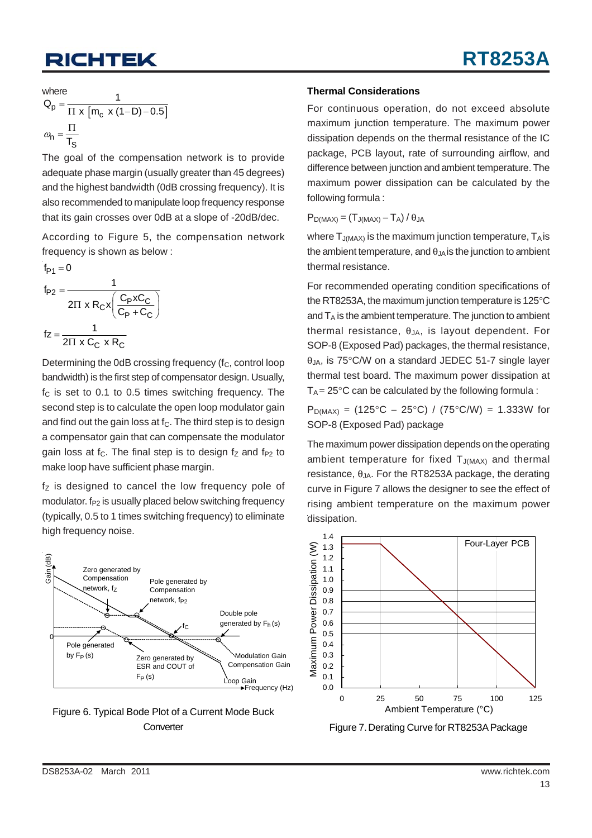where

$$
Q_p = \frac{1}{\Pi \times [m_c \times (1-D) - 0.5]}
$$
  

$$
\omega_n = \frac{\Pi}{T_S}
$$

The goal of the compensation network is to provide adequate phase margin (usually greater than 45 degrees) and the highest bandwidth (0dB crossing frequency). It is also recommended to manipulate loop frequency response that its gain crosses over 0dB at a slope of -20dB/dec.

According to Figure 5, the compensation network frequency is shown as below :

$$
f_{P1} = 0
$$
\n
$$
f_{P2} = \frac{1}{2\pi x R_C x \left(\frac{C_P x C_C}{C_P + C_C}\right)}
$$
\n
$$
fz = \frac{1}{2\pi x C_C x R_C}
$$

Determining the 0dB crossing frequency (f<sub>C</sub>, control loop bandwidth) is the first step of compensator design. Usually,  $f<sub>C</sub>$  is set to 0.1 to 0.5 times switching frequency. The second step is to calculate the open loop modulator gain and find out the gain loss at  $f<sub>C</sub>$ . The third step is to design a compensator gain that can compensate the modulator gain loss at  $f_c$ . The final step is to design  $f_z$  and  $f_{P2}$  to make loop have sufficient phase margin.

 $f<sub>z</sub>$  is designed to cancel the low frequency pole of modulator.  $f_{P2}$  is usually placed below switching frequency (typically, 0.5 to 1 times switching frequency) to eliminate high frequency noise.



Figure 6. Typical Bode Plot of a Current Mode Buck **Converter** 

#### **Thermal Considerations**

For continuous operation, do not exceed absolute maximum junction temperature. The maximum power dissipation depends on the thermal resistance of the IC package, PCB layout, rate of surrounding airflow, and difference between junction and ambient temperature. The maximum power dissipation can be calculated by the following formula :

 $P_{D(MAX)} = (T_{J(MAX)} - T_A)/\theta_{JA}$ 

where  $T_{J(MAX)}$  is the maximum junction temperature,  $T_A$  is the ambient temperature, and  $\theta_{JA}$  is the junction to ambient thermal resistance.

For recommended operating condition specifications of the RT8253A, the maximum junction temperature is 125°C and  $T_A$  is the ambient temperature. The junction to ambient thermal resistance,  $\theta_{JA}$ , is layout dependent. For SOP-8 (Exposed Pad) packages, the thermal resistance,  $\theta_{JA}$ , is 75°C/W on a standard JEDEC 51-7 single layer thermal test board. The maximum power dissipation at  $T_A = 25^{\circ}$ C can be calculated by the following formula :

 $P_{D(MAX)} = (125\degree C - 25\degree C) / (75\degree C/W) = 1.333W$  for SOP-8 (Exposed Pad) package

The maximum power dissipation depends on the operating ambient temperature for fixed  $T_{J(MAX)}$  and thermal resistance,  $θ<sub>JA</sub>$ . For the RT8253A package, the derating curve in Figure 7 allows the designer to see the effect of rising ambient temperature on the maximum power dissipation.



Figure 7. Derating Curve for RT8253A Package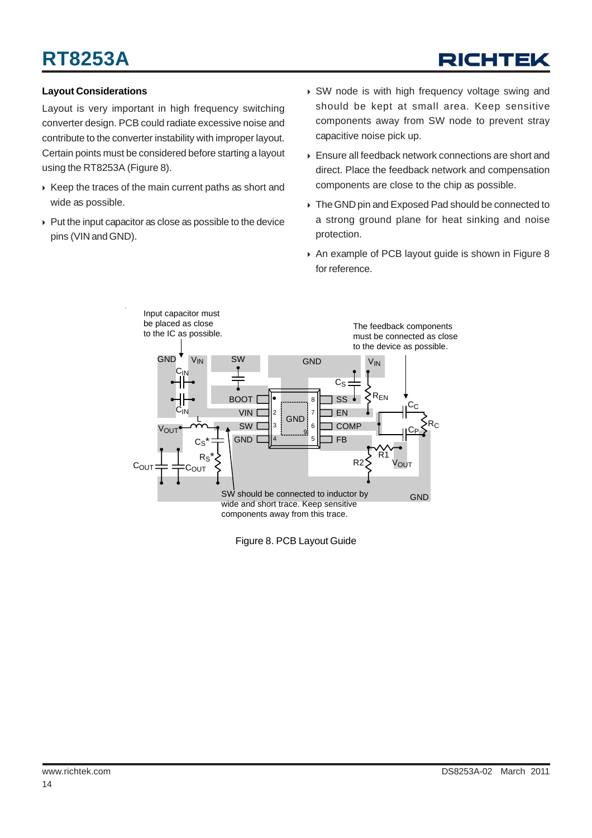# **RT8253A**

# RICHTEK

#### **Layout Considerations**

Layout is very important in high frequency switching converter design. PCB could radiate excessive noise and contribute to the converter instability with improper layout. Certain points must be considered before starting a layout using the RT8253A (Figure 8).

- $\triangleright$  Keep the traces of the main current paths as short and wide as possible.
- $\triangleright$  Put the input capacitor as close as possible to the device pins (VIN and GND).
- ▶ SW node is with high frequency voltage swing and should be kept at small area. Keep sensitive components away from SW node to prevent stray capacitive noise pick up.
- ▶ Ensure all feedback network connections are short and direct. Place the feedback network and compensation components are close to the chip as possible.
- $\triangleright$  The GND pin and Exposed Pad should be connected to a strong ground plane for heat sinking and noise protection.
- ▶ An example of PCB layout guide is shown in Figure 8 for reference.



Figure 8. PCB Layout Guide